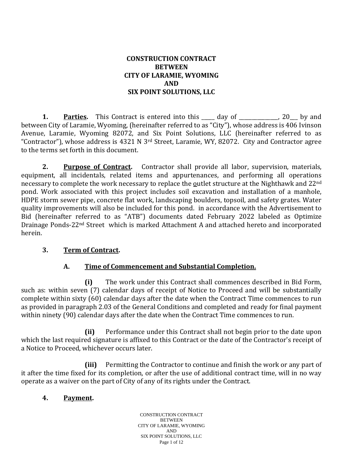### **CONSTRUCTION CONTRACT BETWEEN CITY OF LARAMIE, WYOMING AND SIX POINT SOLUTIONS, LLC**

**1. Parties.** This Contract is entered into this day of the particle of the particle of the particle of the particle of the particle of the particle of the particle of the particle of the particle of the particle of the between City of Laramie, Wyoming, (hereinafter referred to as "City"), whose address is 406 Ivinson Avenue, Laramie, Wyoming 82072, and Six Point Solutions, LLC (hereinafter referred to as "Contractor"), whose address is 4321 N 3rd Street, Laramie, WY, 82072. City and Contractor agree to the terms set forth in this document.

**2. Purpose of Contract.** Contractor shall provide all labor, supervision, materials, equipment, all incidentals, related items and appurtenances, and performing all operations necessary to complete the work necessary to replace the outlet structure at the Nighthawk and 22<sup>nd</sup> pond. Work associated with this project includes soil excavation and installation of a manhole, HDPE storm sewer pipe, concrete flat work, landscaping boulders, topsoil, and safety grates. Water quality improvements will also be included for this pond. in accordance with the Advertisement to Bid (hereinafter referred to as "ATB") documents dated February 2022 labeled as Optimize Drainage Ponds-22nd Street which is marked Attachment A and attached hereto and incorporated herein.

### **3. Term of Contract.**

### **A. Time of Commencement and Substantial Completion.**

**(i)** The work under this Contract shall commences described in Bid Form, such as: within seven (7) calendar days of receipt of Notice to Proceed and will be substantially complete within sixty (60) calendar days after the date when the Contract Time commences to run as provided in paragraph 2.03 of the General Conditions and completed and ready for final payment within ninety (90) calendar days after the date when the Contract Time commences to run.

**(ii)** Performance under this Contract shall not begin prior to the date upon which the last required signature is affixed to this Contract or the date of the Contractor's receipt of a Notice to Proceed, whichever occurs later.

**(iii)** Permitting the Contractor to continue and finish the work or any part of it after the time fixed for its completion, or after the use of additional contract time, will in no way operate as a waiver on the part of City of any of its rights under the Contract.

### **4. Payment.**

CONSTRUCTION CONTRACT **BETWEEN** CITY OF LARAMIE, WYOMING AND SIX POINT SOLUTIONS, LLC Page 1 of 12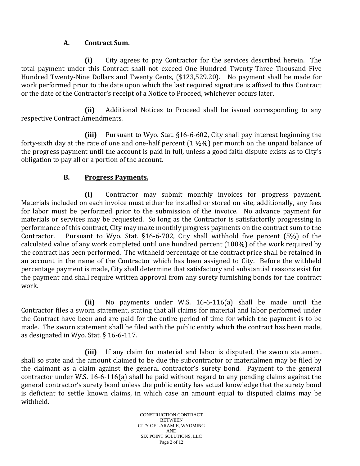## **A. Contract Sum.**

**(i)** City agrees to pay Contractor for the services described herein. The total payment under this Contract shall not exceed One Hundred Twenty-Three Thousand Five Hundred Twenty-Nine Dollars and Twenty Cents, (\$123,529.20). No payment shall be made for work performed prior to the date upon which the last required signature is affixed to this Contract or the date of the Contractor's receipt of a Notice to Proceed, whichever occurs later.

**(ii)** Additional Notices to Proceed shall be issued corresponding to any respective Contract Amendments.

**(iii)** Pursuant to Wyo. Stat. §16-6-602, City shall pay interest beginning the forty-sixth day at the rate of one and one-half percent (1 ½%) per month on the unpaid balance of the progress payment until the account is paid in full, unless a good faith dispute exists as to City's obligation to pay all or a portion of the account.

## **B. Progress Payments.**

**(i)** Contractor may submit monthly invoices for progress payment. Materials included on each invoice must either be installed or stored on site, additionally, any fees for labor must be performed prior to the submission of the invoice. No advance payment for materials or services may be requested. So long as the Contractor is satisfactorily progressing in performance of this contract, City may make monthly progress payments on the contract sum to the Contractor. Pursuant to Wyo. Stat. §16-6-702, City shall withhold five percent (5%) of the calculated value of any work completed until one hundred percent (100%) of the work required by the contract has been performed. The withheld percentage of the contract price shall be retained in an account in the name of the Contractor which has been assigned to City. Before the withheld percentage payment is made, City shall determine that satisfactory and substantial reasons exist for the payment and shall require written approval from any surety furnishing bonds for the contract work.

**(ii)** No payments under W.S. 16-6-116(a) shall be made until the Contractor files a sworn statement, stating that all claims for material and labor performed under the Contract have been and are paid for the entire period of time for which the payment is to be made. The sworn statement shall be filed with the public entity which the contract has been made, as designated in Wyo. Stat. § 16-6-117.

**(iii)** If any claim for material and labor is disputed, the sworn statement shall so state and the amount claimed to be due the subcontractor or materialmen may be filed by the claimant as a claim against the general contractor's surety bond. Payment to the general contractor under W.S. 16-6-116(a) shall be paid without regard to any pending claims against the general contractor's surety bond unless the public entity has actual knowledge that the surety bond is deficient to settle known claims, in which case an amount equal to disputed claims may be withheld.

> CONSTRUCTION CONTRACT **BETWEEN** CITY OF LARAMIE, WYOMING AND SIX POINT SOLUTIONS, LLC Page 2 of 12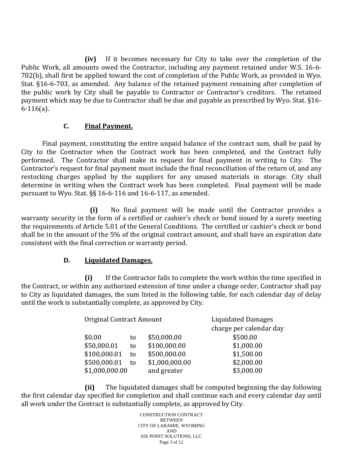**(iv)** If it becomes necessary for City to take over the completion of the Public Work, all amounts owed the Contractor, including any payment retained under W.S. 16-6- 702(b), shall first be applied toward the cost of completion of the Public Work, as provided in Wyo. Stat. §16-6-703, as amended. Any balance of the retained payment remaining after completion of the public work by City shall be payable to Contractor or Contractor's creditors. The retained payment which may be due to Contractor shall be due and payable as prescribed by Wyo. Stat. §16- 6-116(a).

### **C. Final Payment.**

Final payment, constituting the entire unpaid balance of the contract sum, shall be paid by City to the Contractor when the Contract work has been completed, and the Contract fully performed. The Contractor shall make its request for final payment in writing to City. The Contractor's request for final payment must include the final reconciliation of the return of, and any restocking charges applied by the suppliers for any unused materials in storage. City shall determine in writing when the Contract work has been completed. Final payment will be made pursuant to Wyo. Stat. §§ 16-6-116 and 16-6-117, as amended.

**(i)** No final payment will be made until the Contractor provides a warranty security in the form of a certified or cashier's check or bond issued by a surety meeting the requirements of Article 5.01 of the General Conditions. The certified or cashier's check or bond shall be in the amount of the 5% of the original contract amount, and shall have an expiration date consistent with the final correction or warranty period.

## **D. Liquidated Damages.**

**(i)** If the Contractor fails to complete the work within the time specified in the Contract, or within any authorized extension of time under a change order, Contractor shall pay to City as liquidated damages, the sum listed in the following table, for each calendar day of delay until the work is substantially complete, as approved by City.

| Original Contract Amount |    |                | <b>Liquidated Damages</b> |
|--------------------------|----|----------------|---------------------------|
|                          |    |                | charge per calendar day   |
| \$0.00                   | to | \$50,000.00    | \$500.00                  |
| \$50,000.01              | to | \$100,000.00   | \$1,000.00                |
| \$100,000.01             | to | \$500,000.00   | \$1,500.00                |
| \$500,000.01             | to | \$1,000,000.00 | \$2,000.00                |
| \$1,000,000.00           |    | and greater    | \$3,000.00                |

**(ii)** The liquidated damages shall be computed beginning the day following the first calendar day specified for completion and shall continue each and every calendar day until all work under the Contract is substantially complete, as approved by City.

> CONSTRUCTION CONTRACT **BETWEEN** CITY OF LARAMIE, WYOMING AND SIX POINT SOLUTIONS, LLC Page 3 of 12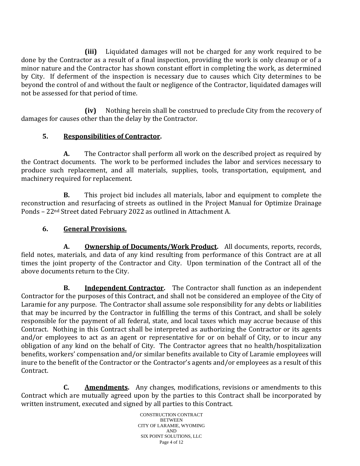**(iii)** Liquidated damages will not be charged for any work required to be done by the Contractor as a result of a final inspection, providing the work is only cleanup or of a minor nature and the Contractor has shown constant effort in completing the work, as determined by City. If deferment of the inspection is necessary due to causes which City determines to be beyond the control of and without the fault or negligence of the Contractor, liquidated damages will not be assessed for that period of time.

**(iv)** Nothing herein shall be construed to preclude City from the recovery of damages for causes other than the delay by the Contractor.

## **5. Responsibilities of Contractor.**

**A.** The Contractor shall perform all work on the described project as required by the Contract documents. The work to be performed includes the labor and services necessary to produce such replacement, and all materials, supplies, tools, transportation, equipment, and machinery required for replacement.

**B.** This project bid includes all materials, labor and equipment to complete the reconstruction and resurfacing of streets as outlined in the Project Manual for Optimize Drainage Ponds – 22nd Street dated February 2022 as outlined in Attachment A.

## **6. General Provisions.**

**A. Ownership of Documents/Work Product.** All documents, reports, records, field notes, materials, and data of any kind resulting from performance of this Contract are at all times the joint property of the Contractor and City. Upon termination of the Contract all of the above documents return to the City.

**B. Independent Contractor.** The Contractor shall function as an independent Contractor for the purposes of this Contract, and shall not be considered an employee of the City of Laramie for any purpose. The Contractor shall assume sole responsibility for any debts or liabilities that may be incurred by the Contractor in fulfilling the terms of this Contract, and shall be solely responsible for the payment of all federal, state, and local taxes which may accrue because of this Contract. Nothing in this Contract shall be interpreted as authorizing the Contractor or its agents and/or employees to act as an agent or representative for or on behalf of City, or to incur any obligation of any kind on the behalf of City. The Contractor agrees that no health/hospitalization benefits, workers' compensation and/or similar benefits available to City of Laramie employees will inure to the benefit of the Contractor or the Contractor's agents and/or employees as a result of this Contract.

**C. Amendments.** Any changes, modifications, revisions or amendments to this Contract which are mutually agreed upon by the parties to this Contract shall be incorporated by written instrument, executed and signed by all parties to this Contract.

> CONSTRUCTION CONTRACT **BETWEEN** CITY OF LARAMIE, WYOMING AND SIX POINT SOLUTIONS, LLC Page 4 of 12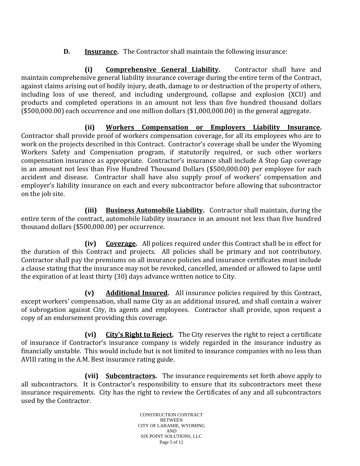**D. Insurance.** The Contractor shall maintain the following insurance:

**(i) Comprehensive General Liability.** Contractor shall have and maintain comprehensive general liability insurance coverage during the entire term of the Contract, against claims arising out of bodily injury, death, damage to or destruction of the property of others, including loss of use thereof, and including underground, collapse and explosion (XCU) and products and completed operations in an amount not less than five hundred thousand dollars (\$500,000.00) each occurrence and one million dollars (\$1,000,000.00) in the general aggregate.

**(ii) Workers Compensation or Employers Liability Insurance.** Contractor shall provide proof of workers compensation coverage, for all its employees who are to work on the projects described in this Contract. Contractor's coverage shall be under the Wyoming Workers Safety and Compensation program, if statutorily required, or such other workers compensation insurance as appropriate. Contractor's insurance shall include A Stop Gap coverage in an amount not less than Five Hundred Thousand Dollars (\$500,000.00) per employee for each accident and disease. Contractor shall have also supply proof of workers' compensation and employer's liability insurance on each and every subcontractor before allowing that subcontractor on the job site.

**(iii) Business Automobile Liability.** Contractor shall maintain, during the entire term of the contract, automobile liability insurance in an amount not less than five hundred thousand dollars (\$500,000.00) per occurrence.

**(iv) Coverage.** All polices required under this Contract shall be in effect for the duration of this Contract and projects. All policies shall be primary and not contributory. Contractor shall pay the premiums on all insurance policies and insurance certificates must include a clause stating that the insurance may not be revoked, cancelled, amended or allowed to lapse until the expiration of at least thirty (30) days advance written notice to City.

**(v) Additional Insured.** All insurance policies required by this Contract, except workers' compensation, shall name City as an additional insured, and shall contain a waiver of subrogation against City, its agents and employees. Contractor shall provide, upon request a copy of an endorsement providing this coverage.

**(vi) City's Right to Reject.** The City reserves the right to reject a certificate of insurance if Contractor's insurance company is widely regarded in the insurance industry as financially unstable. This would include but is not limited to insurance companies with no less than AVIII rating in the A.M. Best insurance rating guide.

**(vii) Subcontractors.** The insurance requirements set forth above apply to all subcontractors. It is Contractor's responsibility to ensure that its subcontractors meet these insurance requirements. City has the right to review the Certificates of any and all subcontractors used by the Contractor.

> CONSTRUCTION CONTRACT **BETWEEN** CITY OF LARAMIE, WYOMING AND SIX POINT SOLUTIONS, LLC Page 5 of 12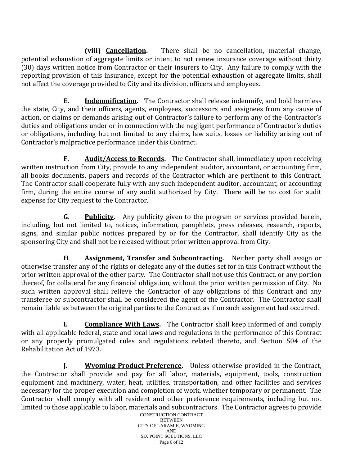**(viii) Cancellation.** There shall be no cancellation, material change, potential exhaustion of aggregate limits or intent to not renew insurance coverage without thirty (30) days written notice from Contractor or their insurers to City. Any failure to comply with the reporting provision of this insurance, except for the potential exhaustion of aggregate limits, shall not affect the coverage provided to City and its division, officers and employees.

**E. Indemnification.** The Contractor shall release indemnify, and hold harmless the state, City, and their officers, agents, employees, successors and assignees from any cause of action, or claims or demands arising out of Contractor's failure to perform any of the Contractor's duties and obligations under or in connection with the negligent performance of Contractor's duties or obligations, including but not limited to any claims, law suits, losses or liability arising out of Contractor's malpractice performance under this Contract.

**F. Audit/Access to Records.** The Contractor shall, immediately upon receiving written instruction from City, provide to any independent auditor, accountant, or accounting firm, all books documents, papers and records of the Contractor which are pertinent to this Contract. The Contractor shall cooperate fully with any such independent auditor, accountant, or accounting firm, during the entire course of any audit authorized by City. There will be no cost for audit expense for City request to the Contractor.

**G**. **Publicity.** Any publicity given to the program or services provided herein, including, but not limited to, notices, information, pamphlets, press releases, research, reports, signs, and similar public notices prepared by or for the Contractor, shall identify City as the sponsoring City and shall not be released without prior written approval from City.

**H**. **Assignment, Transfer and Subcontracting.** Neither party shall assign or otherwise transfer any of the rights or delegate any of the duties set for in this Contract without the prior written approval of the other party. The Contractor shall not use this Contract, or any portion thereof, for collateral for any financial obligation, without the prior written permission of City. No such written approval shall relieve the Contractor of any obligations of this Contract and any transferee or subcontractor shall be considered the agent of the Contractor. The Contractor shall remain liable as between the original parties to the Contract as if no such assignment had occurred.

**I. Compliance With Laws.** The Contractor shall keep informed of and comply with all applicable federal, state and local laws and regulations in the performance of this Contract or any properly promulgated rules and regulations related thereto, and Section 504 of the Rehabilitation Act of 1973.

**J. Wyoming Product Preference.** Unless otherwise provided in the Contract, the Contractor shall provide and pay for all labor, materials, equipment, tools, construction equipment and machinery, water, heat, utilities, transportation, and other facilities and services necessary for the proper execution and completion of work, whether temporary or permanent. The Contractor shall comply with all resident and other preference requirements, including but not limited to those applicable to labor, materials and subcontractors. The Contractor agrees to provide

CONSTRUCTION CONTRACT **BETWEEN** CITY OF LARAMIE, WYOMING AND SIX POINT SOLUTIONS, LLC Page 6 of 12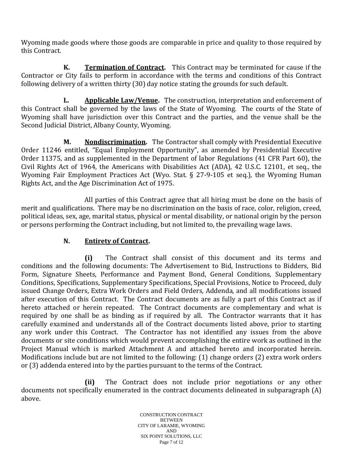Wyoming made goods where those goods are comparable in price and quality to those required by this Contract.

**K. Termination of Contract.** This Contract may be terminated for cause if the Contractor or City fails to perform in accordance with the terms and conditions of this Contract following delivery of a written thirty (30) day notice stating the grounds for such default.

**L. Applicable Law/Venue.** The construction, interpretation and enforcement of this Contract shall be governed by the laws of the State of Wyoming. The courts of the State of Wyoming shall have jurisdiction over this Contract and the parties, and the venue shall be the Second Judicial District, Albany County, Wyoming.

**M. Nondiscrimination.** The Contractor shall comply with Presidential Executive Order 11246 entitled, "Equal Employment Opportunity", as amended by Presidential Executive Order 11375, and as supplemented in the Department of labor Regulations (41 CFR Part 60), the Civil Rights Act of 1964, the Americans with Disabilities Act (ADA), 42 U.S.C. 12101, et seq., the Wyoming Fair Employment Practices Act (Wyo. Stat. § 27-9-105 et seq.), the Wyoming Human Rights Act, and the Age Discrimination Act of 1975.

All parties of this Contract agree that all hiring must be done on the basis of merit and qualifications. There may be no discrimination on the basis of race, color, religion, creed, political ideas, sex, age, marital status, physical or mental disability, or national origin by the person or persons performing the Contract including, but not limited to, the prevailing wage laws.

# **N. Entirety of Contract.**

**(i)** The Contract shall consist of this document and its terms and conditions and the following documents: The Advertisement to Bid, Instructions to Bidders, Bid Form, Signature Sheets, Performance and Payment Bond, General Conditions, Supplementary Conditions, Specifications, Supplementary Specifications, Special Provisions, Notice to Proceed, duly issued Change Orders, Extra Work Orders and Field Orders, Addenda, and all modifications issued after execution of this Contract. The Contract documents are as fully a part of this Contract as if hereto attached or herein repeated. The Contract documents are complementary and what is required by one shall be as binding as if required by all. The Contractor warrants that it has carefully examined and understands all of the Contract documents listed above, prior to starting any work under this Contract. The Contractor has not identified any issues from the above documents or site conditions which would prevent accomplishing the entire work as outlined in the Project Manual which is marked Attachment A and attached hereto and incorporated herein. Modifications include but are not limited to the following: (1) change orders (2) extra work orders or (3) addenda entered into by the parties pursuant to the terms of the Contract.

**(ii)** The Contract does not include prior negotiations or any other documents not specifically enumerated in the contract documents delineated in subparagraph (A) above.

> CONSTRUCTION CONTRACT **BETWEEN** CITY OF LARAMIE, WYOMING AND SIX POINT SOLUTIONS, LLC Page 7 of 12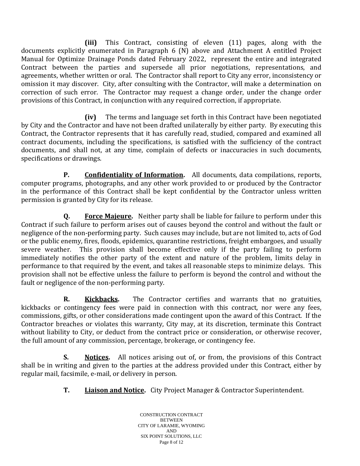**(iii)** This Contract, consisting of eleven (11) pages, along with the documents explicitly enumerated in Paragraph 6 (N) above and Attachment A entitled Project Manual for Optimize Drainage Ponds dated February 2022, represent the entire and integrated Contract between the parties and supersede all prior negotiations, representations, and agreements, whether written or oral. The Contractor shall report to City any error, inconsistency or omission it may discover. City, after consulting with the Contractor, will make a determination on correction of such error. The Contractor may request a change order, under the change order provisions of this Contract, in conjunction with any required correction, if appropriate.

**(iv)** The terms and language set forth in this Contract have been negotiated by City and the Contractor and have not been drafted unilaterally by either party. By executing this Contract, the Contractor represents that it has carefully read, studied, compared and examined all contract documents, including the specifications, is satisfied with the sufficiency of the contract documents, and shall not, at any time, complain of defects or inaccuracies in such documents, specifications or drawings.

**P. Confidentiality of Information.** All documents, data compilations, reports, computer programs, photographs, and any other work provided to or produced by the Contractor in the performance of this Contract shall be kept confidential by the Contractor unless written permission is granted by City for its release.

**Q. Force Majeure.** Neither party shall be liable for failure to perform under this Contract if such failure to perform arises out of causes beyond the control and without the fault or negligence of the non-performing party. Such causes may include, but are not limited to, acts of God or the public enemy, fires, floods, epidemics, quarantine restrictions, freight embargoes, and usually severe weather. This provision shall become effective only if the party failing to perform immediately notifies the other party of the extent and nature of the problem, limits delay in performance to that required by the event, and takes all reasonable steps to minimize delays. This provision shall not be effective unless the failure to perform is beyond the control and without the fault or negligence of the non-performing party.

**R. Kickbacks.** The Contractor certifies and warrants that no gratuities, kickbacks or contingency fees were paid in connection with this contract, nor were any fees, commissions, gifts, or other considerations made contingent upon the award of this Contract. If the Contractor breaches or violates this warranty, City may, at its discretion, terminate this Contract without liability to City, or deduct from the contract price or consideration, or otherwise recover, the full amount of any commission, percentage, brokerage, or contingency fee.

**S. Notices.** All notices arising out of, or from, the provisions of this Contract shall be in writing and given to the parties at the address provided under this Contract, either by regular mail, facsimile, e-mail, or delivery in person.

**T. Liaison and Notice.** City Project Manager & Contractor Superintendent.

CONSTRUCTION CONTRACT **BETWEEN** CITY OF LARAMIE, WYOMING AND SIX POINT SOLUTIONS, LLC Page 8 of 12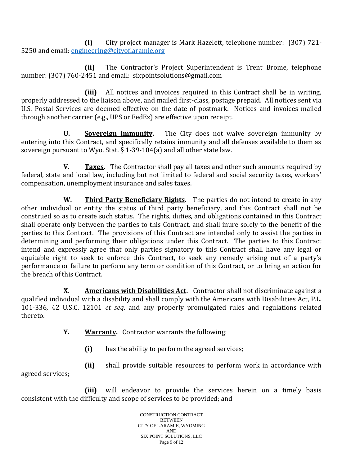**(i)** City project manager is Mark Hazelett, telephone number: (307) 721- 5250 and email: [engineering@cityoflaramie.org](mailto:engineering@cityoflaramie.org)

**(ii)** The Contractor's Project Superintendent is Trent Brome, telephone number: (307) 760-2451 and email: sixpointsolutions@gmail.com

**(iii)** All notices and invoices required in this Contract shall be in writing, properly addressed to the liaison above, and mailed first-class, postage prepaid. All notices sent via U.S. Postal Services are deemed effective on the date of postmark. Notices and invoices mailed through another carrier (e.g., UPS or FedEx) are effective upon receipt.

**U. Sovereign Immunity.** The City does not waive sovereign immunity by entering into this Contract, and specifically retains immunity and all defenses available to them as sovereign pursuant to Wyo. Stat. § 1-39-104(a) and all other state law.

**V. Taxes.** The Contractor shall pay all taxes and other such amounts required by federal, state and local law, including but not limited to federal and social security taxes, workers' compensation, unemployment insurance and sales taxes.

**W. Third Party Beneficiary Rights.** The parties do not intend to create in any other individual or entity the status of third party beneficiary, and this Contract shall not be construed so as to create such status. The rights, duties, and obligations contained in this Contract shall operate only between the parties to this Contract, and shall inure solely to the benefit of the parties to this Contract. The provisions of this Contract are intended only to assist the parties in determining and performing their obligations under this Contract. The parties to this Contract intend and expressly agree that only parties signatory to this Contract shall have any legal or equitable right to seek to enforce this Contract, to seek any remedy arising out of a party's performance or failure to perform any term or condition of this Contract, or to bring an action for the breach of this Contract.

**X**. **Americans with Disabilities Act.** Contractor shall not discriminate against a qualified individual with a disability and shall comply with the Americans with Disabilities Act, P.L. 101-336, 42 U.S.C. 12101 *et seq*. and any properly promulgated rules and regulations related thereto.

- **Y. Warranty.** Contractor warrants the following:
	- **(i)** has the ability to perform the agreed services;
	- **(ii)** shall provide suitable resources to perform work in accordance with

agreed services;

**(iii)** will endeavor to provide the services herein on a timely basis consistent with the difficulty and scope of services to be provided; and

> CONSTRUCTION CONTRACT **BETWEEN** CITY OF LARAMIE, WYOMING AND SIX POINT SOLUTIONS, LLC Page 9 of 12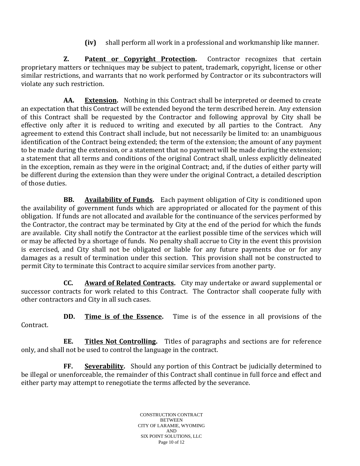**(iv)** shall perform all work in a professional and workmanship like manner.

**Z. Patent or Copyright Protection.** Contractor recognizes that certain proprietary matters or techniques may be subject to patent, trademark, copyright, license or other similar restrictions, and warrants that no work performed by Contractor or its subcontractors will violate any such restriction.

**AA. Extension.** Nothing in this Contract shall be interpreted or deemed to create an expectation that this Contract will be extended beyond the term described herein. Any extension of this Contract shall be requested by the Contractor and following approval by City shall be effective only after it is reduced to writing and executed by all parties to the Contract. Any agreement to extend this Contract shall include, but not necessarily be limited to: an unambiguous identification of the Contract being extended; the term of the extension; the amount of any payment to be made during the extension, or a statement that no payment will be made during the extension; a statement that all terms and conditions of the original Contract shall, unless explicitly delineated in the exception, remain as they were in the original Contract; and, if the duties of either party will be different during the extension than they were under the original Contract, a detailed description of those duties.

**BB. Availability of Funds.** Each payment obligation of City is conditioned upon the availability of government funds which are appropriated or allocated for the payment of this obligation. If funds are not allocated and available for the continuance of the services performed by the Contractor, the contract may be terminated by City at the end of the period for which the funds are available. City shall notify the Contractor at the earliest possible time of the services which will or may be affected by a shortage of funds. No penalty shall accrue to City in the event this provision is exercised, and City shall not be obligated or liable for any future payments due or for any damages as a result of termination under this section. This provision shall not be constructed to permit City to terminate this Contract to acquire similar services from another party.

**CC. Award of Related Contracts.** City may undertake or award supplemental or successor contracts for work related to this Contract. The Contractor shall cooperate fully with other contractors and City in all such cases.

**DD. Time is of the Essence.** Time is of the essence in all provisions of the Contract.

**EE. Titles Not Controlling.** Titles of paragraphs and sections are for reference only, and shall not be used to control the language in the contract.

**FF. Severability.** Should any portion of this Contract be judicially determined to be illegal or unenforceable, the remainder of this Contract shall continue in full force and effect and either party may attempt to renegotiate the terms affected by the severance.

> CONSTRUCTION CONTRACT **BETWEEN** CITY OF LARAMIE, WYOMING AND SIX POINT SOLUTIONS, LLC Page 10 of 12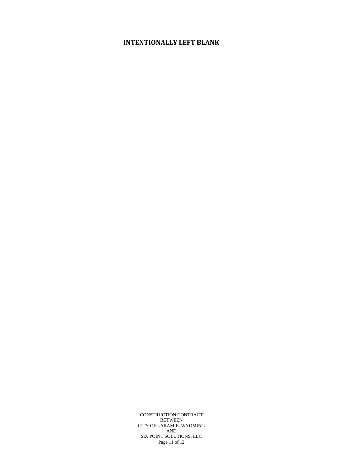## **INTENTIONALLY LEFT BLANK**

CONSTRUCTION CONTRACT BETWEEN CITY OF LARAMIE, WYOMING AND SIX POINT SOLUTIONS, LLC Page 11 of 12